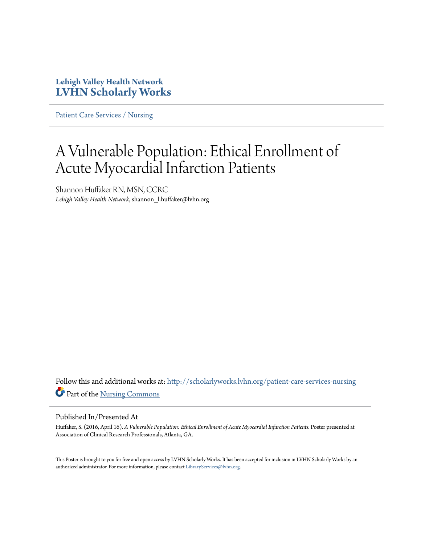## **Lehigh Valley Health Network [LVHN Scholarly Works](http://scholarlyworks.lvhn.org?utm_source=scholarlyworks.lvhn.org%2Fpatient-care-services-nursing%2F626&utm_medium=PDF&utm_campaign=PDFCoverPages)**

[Patient Care Services / Nursing](http://scholarlyworks.lvhn.org/patient-care-services-nursing?utm_source=scholarlyworks.lvhn.org%2Fpatient-care-services-nursing%2F626&utm_medium=PDF&utm_campaign=PDFCoverPages)

## A Vulnerable Population: Ethical Enrollment of Acute Myocardial Infarction Patients

Shannon Huffaker RN, MSN, CCRC *Lehigh Valley Health Network*, shannon\_l.huffaker@lvhn.org

Follow this and additional works at: [http://scholarlyworks.lvhn.org/patient-care-services-nursing](http://scholarlyworks.lvhn.org/patient-care-services-nursing?utm_source=scholarlyworks.lvhn.org%2Fpatient-care-services-nursing%2F626&utm_medium=PDF&utm_campaign=PDFCoverPages) Part of the [Nursing Commons](http://network.bepress.com/hgg/discipline/718?utm_source=scholarlyworks.lvhn.org%2Fpatient-care-services-nursing%2F626&utm_medium=PDF&utm_campaign=PDFCoverPages)

## Published In/Presented At

Huffaker, S. (2016, April 16). *A Vulnerable Population: Ethical Enrollment of Acute Myocardial Infarction Patients.* Poster presented at Association of Clinical Research Professionals, Atlanta, GA.

This Poster is brought to you for free and open access by LVHN Scholarly Works. It has been accepted for inclusion in LVHN Scholarly Works by an authorized administrator. For more information, please contact [LibraryServices@lvhn.org.](mailto:LibraryServices@lvhn.org)